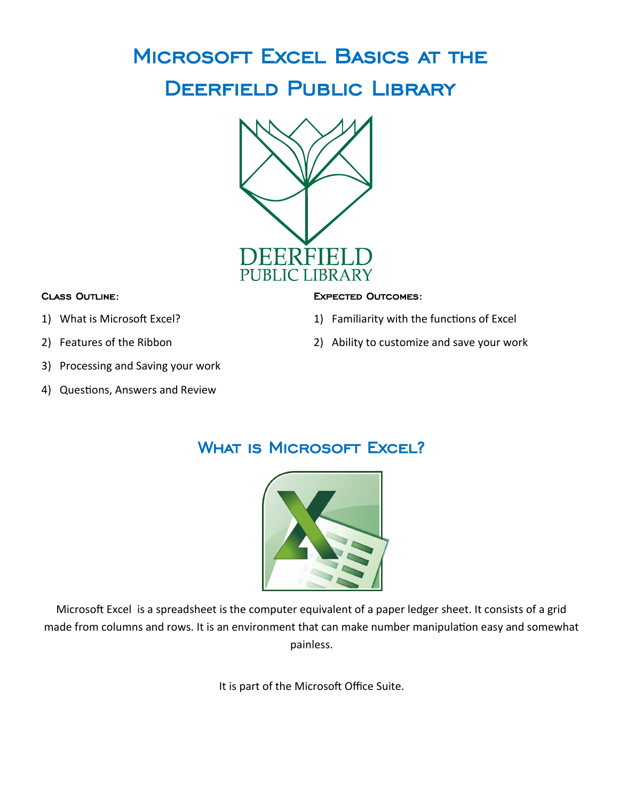# Microsoft Excel Basics at the Deerfield Public Library



#### Class Outline:

- 1) What is Microsoft Excel?
- 2) Features of the Ribbon
- 3) Processing and Saving your work
- 4) Questions, Answers and Review

#### Expected Outcomes:

- 1) Familiarity with the functions of Excel
- 2) Ability to customize and save your work

# WHAT IS MICROSOFT EXCEL?



Microsoft Excel is a spreadsheet is the computer equivalent of a paper ledger sheet. It consists of a grid made from columns and rows. It is an environment that can make number manipulation easy and somewhat painless.

It is part of the Microsoft Office Suite.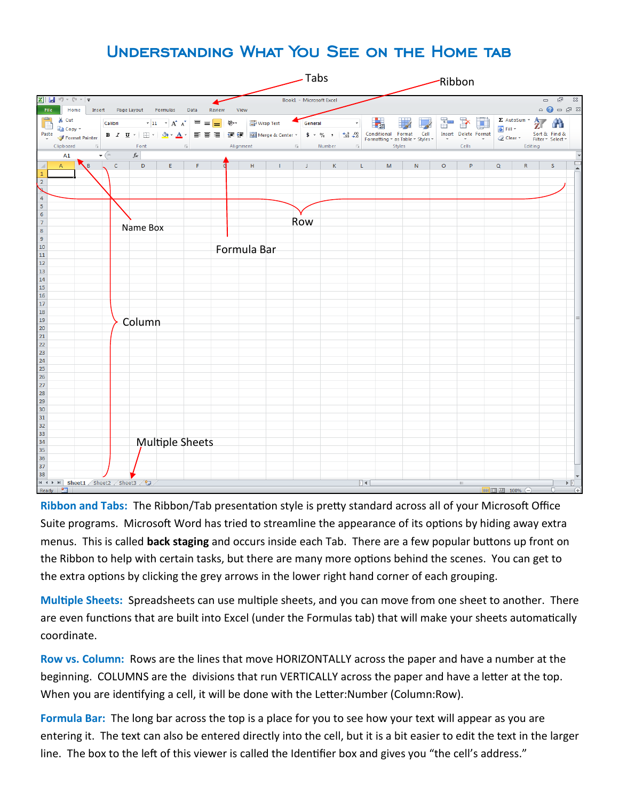# Understanding What You See on the Home tab



**Ribbon and Tabs:** The Ribbon/Tab presentation style is pretty standard across all of your Microsoft Office Suite programs. Microsoft Word has tried to streamline the appearance of its options by hiding away extra menus. This is called **back staging** and occurs inside each Tab. There are a few popular buttons up front on the Ribbon to help with certain tasks, but there are many more options behind the scenes. You can get to the extra options by clicking the grey arrows in the lower right hand corner of each grouping.

**Multiple Sheets:** Spreadsheets can use multiple sheets, and you can move from one sheet to another. There are even functions that are built into Excel (under the Formulas tab) that will make your sheets automatically coordinate.

**Row vs. Column:** Rows are the lines that move HORIZONTALLY across the paper and have a number at the beginning. COLUMNS are the divisions that run VERTICALLY across the paper and have a letter at the top. When you are identifying a cell, it will be done with the Letter:Number (Column:Row).

**Formula Bar:** The long bar across the top is a place for you to see how your text will appear as you are entering it. The text can also be entered directly into the cell, but it is a bit easier to edit the text in the larger line. The box to the left of this viewer is called the Identifier box and gives you "the cell's address."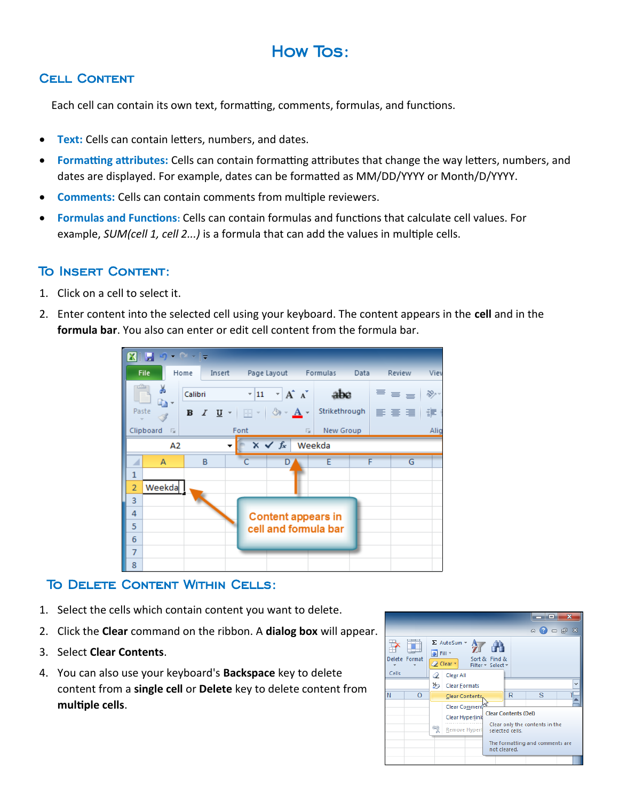# How Tos:

# Cell Content

Each cell can contain its own text, formatting, comments, formulas, and functions.

- **Text:** Cells can contain letters, numbers, and dates.
- **Formatting attributes:** Cells can contain formatting attributes that change the way letters, numbers, and dates are displayed. For example, dates can be formatted as MM/DD/YYYY or Month/D/YYYY.
- **Comments:** Cells can contain comments from multiple reviewers.
- **Formulas and Functions:** Cells can contain formulas and functions that calculate cell values. For example, *SUM(cell 1, cell 2...)* is a formula that can add the values in multiple cells.

# To Insert Content:

- 1. Click on a cell to select it.
- 2. Enter content into the selected cell using your keyboard. The content appears in the **cell** and in the **formula bar**. You also can enter or edit cell content from the formula bar.

| File.                         | Home    |   |      | Insert Page Layout Formulas                                                                                                       |           | Data | Review | Viev                                                 |
|-------------------------------|---------|---|------|-----------------------------------------------------------------------------------------------------------------------------------|-----------|------|--------|------------------------------------------------------|
| ¥                             | Calibri |   |      | $\mathbf{A} \times \mathbf{A} \times \mathbf{A}$ abe                                                                              |           |      |        | $\epsilon_{\text{max}} \equiv \epsilon_{\text{max}}$ |
| en -<br>Paste                 |         |   |      | <b>B</b> <i>I</i> <u>U</u> $\cdot$   $\cdot$   ⊗ $\cdot$ <u>A</u> $\cdot$   Strikethrough   $\equiv$ $\equiv$ $\equiv$   $\equiv$ |           |      |        |                                                      |
| Clipboard                     | 同       |   | Font | $\overline{\mathbb{F}_M}$                                                                                                         | New Group |      |        | Alig                                                 |
|                               | А2      |   |      | $x \checkmark$ fx                                                                                                                 | Weekda    |      |        |                                                      |
| A                             |         | B |      | D                                                                                                                                 | E         |      | F      | G                                                    |
| 1                             |         |   |      |                                                                                                                                   |           |      |        |                                                      |
| Weekda<br>$\overline{2}$<br>3 |         |   |      |                                                                                                                                   |           |      |        |                                                      |
| 4                             |         |   |      |                                                                                                                                   |           |      |        |                                                      |
| 5                             |         |   |      | <b>Content appears in</b><br>cell and formula bar                                                                                 |           |      |        |                                                      |
| 6                             |         |   |      |                                                                                                                                   |           |      |        |                                                      |
| $\overline{7}$                |         |   |      |                                                                                                                                   |           |      |        |                                                      |
| 8                             |         |   |      |                                                                                                                                   |           |      |        |                                                      |

# To Delete Content Within Cells:

- 1. Select the cells which contain content you want to delete.
- 2. Click the **Clear** command on the ribbon. A **dialog box** will appear.
- 3. Select **Clear Contents**.
- 4. You can also use your keyboard's **Backspace** key to delete content from a **single cell** or **Delete** key to delete content from **multiple cells**.

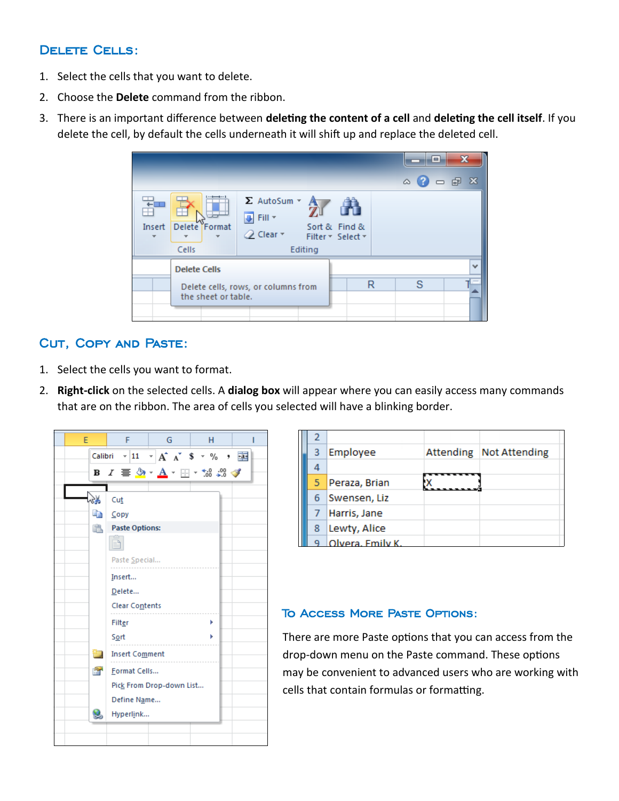#### Delete Cells:

- 1. Select the cells that you want to delete.
- 2. Choose the **Delete** command from the ribbon.
- 3. There is an important difference between **deleting the content of a cell** and **deleting the cell itself**. If you delete the cell, by default the cells underneath it will shift up and replace the deleted cell.

|                                                            |                                                 |                                                                                         |                                    |   | е<br>$\circ$ 2 $\circ$ $\circ$ | $\mathbf{x}$ |
|------------------------------------------------------------|-------------------------------------------------|-----------------------------------------------------------------------------------------|------------------------------------|---|--------------------------------|--------------|
| Insert                                                     | $\cdots$<br><br>1.1.1<br>Delete Format<br>Cells | $\Sigma$ AutoSum $\sim$<br>$\overline{\psi}$ Fill $\tau$<br>$Q$ Clear $\tau$<br>Editing | Sort & Find &<br>Filter * Select * |   |                                |              |
|                                                            | <b>Delete Cells</b>                             |                                                                                         |                                    |   |                                | $\checkmark$ |
| Delete cells, rows, or columns from<br>the sheet or table. |                                                 |                                                                                         |                                    | R | S                              |              |
|                                                            |                                                 |                                                                                         |                                    |   |                                |              |

## Cut, Copy and Paste:

- 1. Select the cells you want to format.
- 2. **Right-click** on the selected cells. A **dialog box** will appear where you can easily access many commands that are on the ribbon. The area of cells you selected will have a blinking border.



| 3 | Employee         | Attending Not Attending |
|---|------------------|-------------------------|
|   |                  |                         |
| 5 | Peraza, Brian    |                         |
| 6 | Swensen, Liz     |                         |
|   | Harris, Jane     |                         |
| 8 | Lewty, Alice     |                         |
|   | Olvera, Emily K. |                         |

#### To Access More Paste Options:

There are more Paste options that you can access from the drop-down menu on the Paste command. These options may be convenient to advanced users who are working with cells that contain formulas or formatting.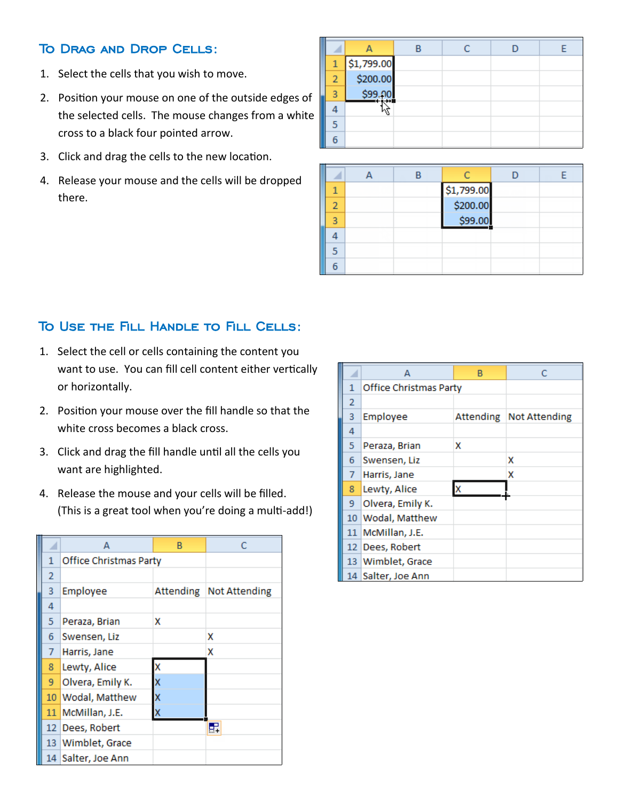#### To Drag and Drop Cells:

- 1. Select the cells that you wish to move.
- 2. Position your mouse on one of the outside edges of the selected cells. The mouse changes from a white cross to a black four pointed arrow.
- 3. Click and drag the cells to the new location.
- 4. Release your mouse and the cells will be dropped there.

|                |            |  | n |  |
|----------------|------------|--|---|--|
| 1              | \$1,799.00 |  |   |  |
| $\overline{2}$ | \$200.00   |  |   |  |
| 3              |            |  |   |  |
|                |            |  |   |  |
| 5              |            |  |   |  |
| 6              |            |  |   |  |

| ۹ |  |                        |  |
|---|--|------------------------|--|
|   |  | \$1,799.00<br>\$200.00 |  |
| ٩ |  | \$99.00                |  |
|   |  |                        |  |
|   |  |                        |  |
|   |  |                        |  |

#### To Use the Fill Handle to Fill Cells:

- 1. Select the cell or cells containing the content you want to use. You can fill cell content either vertically or horizontally.
- 2. Position your mouse over the fill handle so that the white cross becomes a black cross.
- 3. Click and drag the fill handle until all the cells you want are highlighted.
- 4. Release the mouse and your cells will be filled. (This is a great tool when you're doing a multi-add!)

|                | А                      | B         | C                    |
|----------------|------------------------|-----------|----------------------|
| 1              | Office Christmas Party |           |                      |
| $\overline{2}$ |                        |           |                      |
| 3              | Employee               | Attending | <b>Not Attending</b> |
| 4              |                        |           |                      |
| 5              | Peraza, Brian          | x         |                      |
| 6              | Swensen, Liz           |           | x                    |
| 7              | Harris, Jane           |           | X                    |
| 8              | Lewty, Alice           | x         |                      |
| 9              | Olvera, Emily K.       | x         |                      |
| 10             | <b>Wodal</b> , Matthew | x         |                      |
| 11             | McMillan, J.E.         | X         |                      |
| 12.            | Dees, Robert           |           | E.                   |
|                | 13 Wimblet, Grace      |           |                      |
|                | 14 Salter, Joe Ann     |           |                      |

|                | А                      | в |                         |
|----------------|------------------------|---|-------------------------|
| 1              | Office Christmas Party |   |                         |
| $\overline{2}$ |                        |   |                         |
| 3              | Employee               |   | Attending Not Attending |
| 4              |                        |   |                         |
| 5              | Peraza, Brian          | x |                         |
| 6              | Swensen, Liz           |   | x                       |
| $\overline{7}$ | Harris, Jane           |   | x                       |
| 8              | Lewty, Alice           | x |                         |
| 9              | Olvera, Emily K.       |   |                         |
|                | 10 Wodal, Matthew      |   |                         |
|                | 11   McMillan, J.E.    |   |                         |
|                | 12 Dees, Robert        |   |                         |
|                | 13 Wimblet, Grace      |   |                         |
|                | 14  Salter, Joe Ann    |   |                         |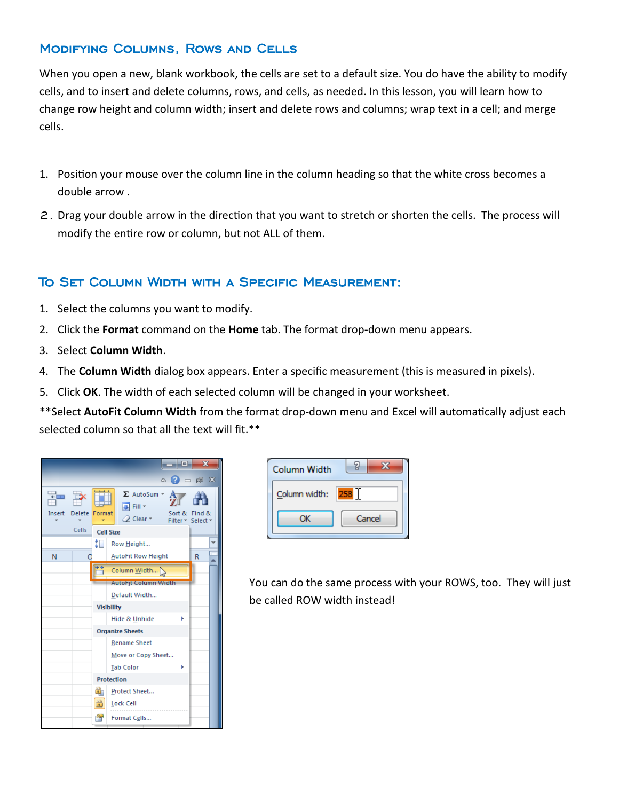#### Modifying Columns, Rows and Cells

When you open a new, blank workbook, the cells are set to a default size. You do have the ability to modify cells, and to insert and delete columns, rows, and cells, as needed. In this lesson, you will learn how to change row height and column width; insert and delete rows and columns; wrap text in a cell; and merge cells.

- 1. Position your mouse over the column line in the column heading so that the white cross becomes a double arrow .
- 2. Drag your double arrow in the direction that you want to stretch or shorten the cells. The process will modify the entire row or column, but not ALL of them.

#### To Set Column Width with a Specific Measurement:

- 1. Select the columns you want to modify.
- 2. Click the **Format** command on the **Home** tab. The format drop-down menu appears.
- 3. Select **Column Width**.
- 4. The **Column Width** dialog box appears. Enter a specific measurement (this is measured in pixels).
- 5. Click **OK**. The width of each selected column will be changed in your worksheet.

\*\*Select **AutoFit Column Width** from the format drop-down menu and Excel will automatically adjust each selected column so that all the text will fit.\*\*

|                |                               |                           | - 9<br>$\wedge$ 3 $\Box$ $\Box$ $\boxtimes$                                           |  | $\mathbf x$                 |  |  |
|----------------|-------------------------------|---------------------------|---------------------------------------------------------------------------------------|--|-----------------------------|--|--|
| $+1$<br>Insert | <b>Delete</b><br><b>Cells</b> | Format                    | $\Sigma$ AutoSum $\sim$<br>J Fill *<br>Sort &<br>$Q$ Clear $\tau$<br><b>Cell Size</b> |  | Find &<br>Filter * Select * |  |  |
|                |                               | ΦΠ                        | Row Height                                                                            |  |                             |  |  |
| N              |                               |                           | <b>AutoFit Row Height</b>                                                             |  | R                           |  |  |
|                |                               |                           | Column Width<br><b>AutoFit Column Width</b><br>Default Width                          |  |                             |  |  |
|                |                               |                           | <b>Visibility</b>                                                                     |  |                             |  |  |
|                |                               |                           | Hide & Unhide                                                                         |  |                             |  |  |
|                |                               |                           | <b>Organize Sheets</b>                                                                |  |                             |  |  |
|                |                               |                           | <b>Rename Sheet</b>                                                                   |  |                             |  |  |
|                |                               |                           | Move or Copy Sheet                                                                    |  |                             |  |  |
|                |                               |                           | <b>Tab Color</b>                                                                      |  |                             |  |  |
|                |                               |                           | <b>Protection</b>                                                                     |  |                             |  |  |
|                |                               | $\mathbf{r}_{\mathrm{H}}$ | Protect Sheet                                                                         |  |                             |  |  |
|                |                               | $\bigcirc$                | Lock Cell                                                                             |  |                             |  |  |
|                |                               | i în                      | Format Cells                                                                          |  |                             |  |  |

| <b>Column Width</b> |        |
|---------------------|--------|
| Column width:       | 258    |
| OΚ                  | Cancel |

You can do the same process with your ROWS, too. They will just be called ROW width instead!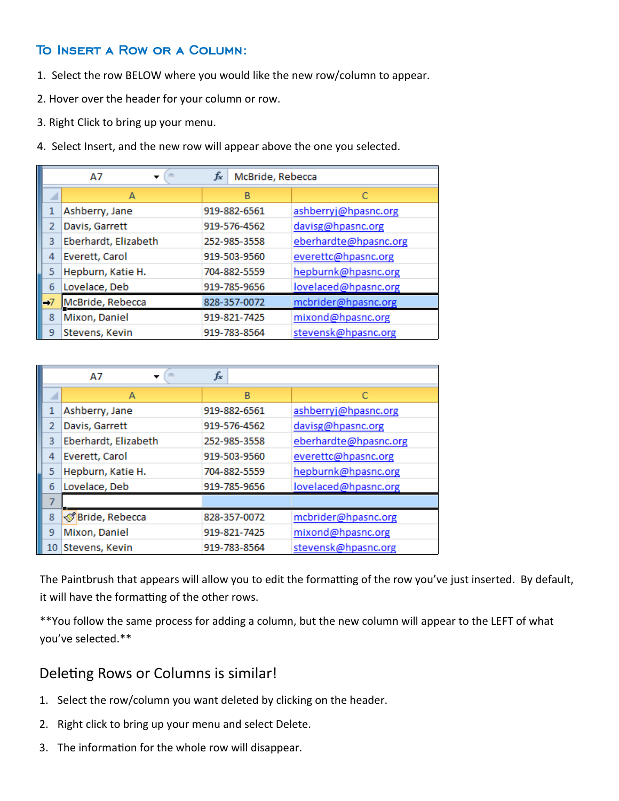#### To Insert a Row or a Column:

- 1. Select the row BELOW where you would like the new row/column to appear.
- 2. Hover over the header for your column or row.
- 3. Right Click to bring up your menu.
- 4. Select Insert, and the new row will appear above the one you selected.

|      | $f_x$<br>McBride, Rebecca<br>A7 |              |                       |  |  |  |  |  |
|------|---------------------------------|--------------|-----------------------|--|--|--|--|--|
|      | А                               | B            |                       |  |  |  |  |  |
| 1    | Ashberry, Jane                  | 919-882-6561 | ashberryj@hpasnc.org  |  |  |  |  |  |
| 2    | Davis, Garrett                  | 919-576-4562 | davisg@hpasnc.org     |  |  |  |  |  |
| 3    | Eberhardt, Elizabeth            | 252-985-3558 | eberhardte@hpasnc.org |  |  |  |  |  |
| 4    | Everett, Carol                  | 919-503-9560 | everettc@hpasnc.org   |  |  |  |  |  |
| 5    | Hepburn, Katie H.               | 704-882-5559 | hepburnk@hpasnc.org   |  |  |  |  |  |
| 6    | Lovelace, Deb                   | 919-785-9656 | lovelaced@hpasnc.org  |  |  |  |  |  |
| $-7$ | McBride, Rebecca                | 828-357-0072 | mcbrider@hpasnc.org   |  |  |  |  |  |
| 8    | Mixon, Daniel                   | 919-821-7425 | mixond@hpasnc.org     |  |  |  |  |  |
| 9    | Stevens, Kevin                  | 919-783-8564 | stevensk@hpasnc.org   |  |  |  |  |  |

|    | A7                   | fx           |                       |
|----|----------------------|--------------|-----------------------|
|    | А                    | B            |                       |
| 1  | Ashberry, Jane       | 919-882-6561 | ashberryj@hpasnc.org  |
| 2  | Davis, Garrett       | 919-576-4562 | davisg@hpasnc.org     |
| 3  | Eberhardt, Elizabeth | 252-985-3558 | eberhardte@hpasnc.org |
| 4  | Everett, Carol       | 919-503-9560 | everettc@hpasnc.org   |
| 5  | Hepburn, Katie H.    | 704-882-5559 | hepburnk@hpasnc.org   |
| 6  | Lovelace, Deb        | 919-785-9656 | lovelaced@hpasnc.org  |
| 7  |                      |              |                       |
| 8  | SP Bride, Rebecca    | 828-357-0072 | mcbrider@hpasnc.org   |
| 9  | Mixon, Daniel        | 919-821-7425 | mixond@hpasnc.org     |
| 10 | Stevens, Kevin       | 919-783-8564 | stevensk@hpasnc.org   |

The Paintbrush that appears will allow you to edit the formatting of the row you've just inserted. By default, it will have the formatting of the other rows.

\*\*You follow the same process for adding a column, but the new column will appear to the LEFT of what you've selected.\*\*

## Deleting Rows or Columns is similar!

- 1. Select the row/column you want deleted by clicking on the header.
- 2. Right click to bring up your menu and select Delete.
- 3. The information for the whole row will disappear.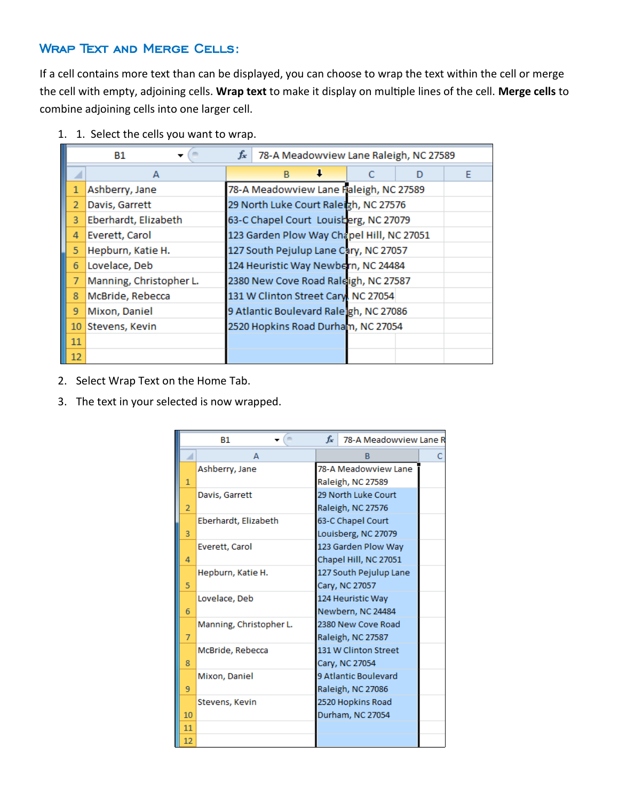#### Wrap Text and Merge Cells:

If a cell contains more text than can be displayed, you can choose to wrap the text within the cell or merge the cell with empty, adjoining cells. **Wrap text** to make it display on multiple lines of the cell. **Merge cells** to combine adjoining cells into one larger cell.

1. 1. Select the cells you want to wrap.

| $f_x$ 78-A Meadowview Lane Raleigh, NC 27589<br>B1 |                         |  |                                           |   |  |   |   |
|----------------------------------------------------|-------------------------|--|-------------------------------------------|---|--|---|---|
|                                                    | А                       |  | B                                         | ↓ |  | D | F |
| 1                                                  | Ashberry, Jane          |  | 78-A Meadowview Lane Raleigh, NC 27589    |   |  |   |   |
| $\overline{2}$                                     | Davis, Garrett          |  | 29 North Luke Court Raleigh, NC 27576     |   |  |   |   |
| 3                                                  | Eberhardt, Elizabeth    |  | 63-C Chapel Court Louisberg, NC 27079     |   |  |   |   |
| 4                                                  | Everett, Carol          |  | 123 Garden Plow Way Chapel Hill, NC 27051 |   |  |   |   |
| 5                                                  | Hepburn, Katie H.       |  | 127 South Pejulup Lane Cary, NC 27057     |   |  |   |   |
| 6                                                  | Lovelace, Deb           |  | 124 Heuristic Way Newbern, NC 24484       |   |  |   |   |
| 7                                                  | Manning, Christopher L. |  | 2380 New Cove Road Raleigh, NC 27587      |   |  |   |   |
| 8                                                  | McBride, Rebecca        |  | 131 W Clinton Street Cary, NC 27054       |   |  |   |   |
| 9                                                  | Mixon, Daniel           |  | 9 Atlantic Boulevard Raleigh, NC 27086    |   |  |   |   |
| 10                                                 | Stevens, Kevin          |  | 2520 Hopkins Road Durham, NC 27054        |   |  |   |   |
| 11                                                 |                         |  |                                           |   |  |   |   |
| 12                                                 |                         |  |                                           |   |  |   |   |

- 2. Select Wrap Text on the Home Tab.
- 3. The text in your selected is now wrapped.

| $f_x$<br>78-A Meadowview Lane R<br><b>B1</b> |                         |                                           |                                                                                          |  |  |
|----------------------------------------------|-------------------------|-------------------------------------------|------------------------------------------------------------------------------------------|--|--|
|                                              | А                       |                                           |                                                                                          |  |  |
| 1                                            | Ashberry, Jane          |                                           | 78-A Meadowview Lane<br>Raleigh, NC 27589                                                |  |  |
| $\overline{2}$                               | Davis, Garrett          | 29 North Luke Court<br>Raleigh, NC 27576  |                                                                                          |  |  |
| 3                                            | Eberhardt, Elizabeth    |                                           | 63-C Chapel Court<br>Louisberg, NC 27079<br>123 Garden Plow Way<br>Chapel Hill, NC 27051 |  |  |
| 4                                            | Everett, Carol          |                                           |                                                                                          |  |  |
| 5                                            | Hepburn, Katie H.       | 127 South Pejulup Lane<br>Cary, NC 27057  |                                                                                          |  |  |
| 6                                            | Lovelace, Deb           | 124 Heuristic Way<br>Newbern, NC 24484    |                                                                                          |  |  |
| 7                                            | Manning, Christopher L. | 2380 New Cove Road<br>Raleigh, NC 27587   |                                                                                          |  |  |
| 8                                            | McBride, Rebecca        | 131 W Clinton Street<br>Cary, NC 27054    |                                                                                          |  |  |
| 9                                            | Mixon, Daniel           | 9 Atlantic Boulevard<br>Raleigh, NC 27086 |                                                                                          |  |  |
| 10                                           | Stevens, Kevin          | 2520 Hopkins Road<br>Durham, NC 27054     |                                                                                          |  |  |
| 11                                           |                         |                                           |                                                                                          |  |  |
| 12                                           |                         |                                           |                                                                                          |  |  |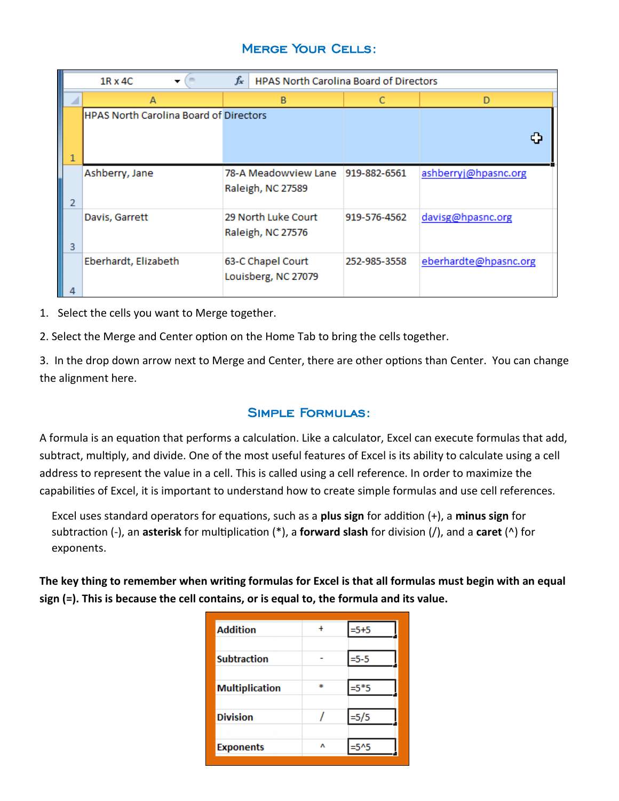## Merge Your Cells:

|                | $f_x$<br><b>HPAS North Carolina Board of Directors</b><br>$1R \times 4C$ |                      |              |                       |  |  |
|----------------|--------------------------------------------------------------------------|----------------------|--------------|-----------------------|--|--|
| A              |                                                                          | в                    |              | D                     |  |  |
|                | <b>HPAS North Carolina Board of Directors</b>                            |                      |              |                       |  |  |
|                |                                                                          |                      |              |                       |  |  |
| 1              |                                                                          |                      |              |                       |  |  |
|                | Ashberry, Jane                                                           | 78-A Meadowview Lane | 919-882-6561 | ashberryj@hpasnc.org  |  |  |
| $\overline{2}$ |                                                                          | Raleigh, NC 27589    |              |                       |  |  |
|                | Davis, Garrett                                                           | 29 North Luke Court  | 919-576-4562 | davisg@hpasnc.org     |  |  |
| 3              |                                                                          | Raleigh, NC 27576    |              |                       |  |  |
|                | Eberhardt, Elizabeth                                                     | 63-C Chapel Court    | 252-985-3558 | eberhardte@hpasnc.org |  |  |
| 4              |                                                                          | Louisberg, NC 27079  |              |                       |  |  |

1. Select the cells you want to Merge together.

2. Select the Merge and Center option on the Home Tab to bring the cells together.

3. In the drop down arrow next to Merge and Center, there are other options than Center. You can change the alignment here.

#### Simple Formulas:

A formula is an equation that performs a calculation. Like a calculator, Excel can execute formulas that add, subtract, multiply, and divide. One of the most useful features of Excel is its ability to calculate using a cell address to represent the value in a cell. This is called using a cell reference. In order to maximize the capabilities of Excel, it is important to understand how to create simple formulas and use cell references.

Excel uses standard operators for equations, such as a **plus sign** for addition (+), a **minus sign** for subtraction (-), an **asterisk** for multiplication (\*), a **forward slash** for division (/), and a **caret** (^) for exponents.

**The key thing to remember when writing formulas for Excel is that all formulas must begin with an equal sign (=). This is because the cell contains, or is equal to, the formula and its value.**

| <b>Addition</b>       | $\ddot{}$ | $=$ 5+5 |
|-----------------------|-----------|---------|
| <b>Subtraction</b>    |           | $=$ 5-5 |
| <b>Multiplication</b> | sk.       | $=5*5$  |
| <b>Division</b>       |           | $=$ 5/5 |
| <b>Exponents</b>      | ٨         |         |